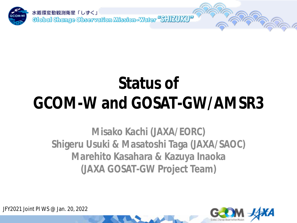

## **Status of GCOM-W and GOSAT-GW/AMSR3**

**Misako Kachi (JAXA/EORC) Shigeru Usuki & Masatoshi Taga (JAXA/SAOC) Marehito Kasahara & Kazuya Inaoka (JAXA GOSAT-GW Project Team)**



JFY2021 Joint PI WS @ Jan. 20, 2022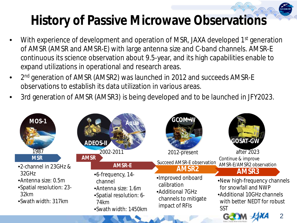## **History of Passive Microwave Observations**

- With experience of development and operation of MSR, JAXA developed 1<sup>st</sup> generation of AMSR (AMSR and AMSR-E) with large antenna size and C-band channels. AMSR-E continuous its science observation about 9.5-year, and its high capabilities enable to expand utilizations in operational and research areas.
- 2<sup>nd</sup> generation of AMSR (AMSR2) was launched in 2012 and succeeds AMSR-E observations to establish its data utilization in various areas.
- 3rd generation of AMSR (AMSR3) is being developed and to be launched in JFY2023.

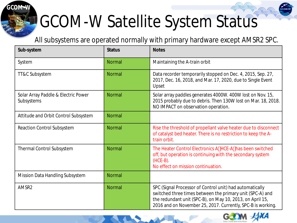# GCOM-W Satellite System Status

*GCOM-W*

All subsystems are operated normally with primary hardware except AMSR2 SPC.

| Sub-system                                        | <b>Status</b> | <b>Notes</b>                                                                                                                                                                                                                                      |
|---------------------------------------------------|---------------|---------------------------------------------------------------------------------------------------------------------------------------------------------------------------------------------------------------------------------------------------|
| System                                            | <b>Normal</b> | Maintaining the A-train orbit                                                                                                                                                                                                                     |
| TT&C Subsystem                                    | <b>Normal</b> | Data recorder temporarily stopped on Dec. 4, 2015, Sep. 27,<br>2017, Dec. 16, 2018, and Mar. 17, 2020, due to Single Event<br>Upset                                                                                                               |
| Solar Array Paddle & Electric Power<br>Subsystems | Normal        | Solar array paddles generates 4000W. 400W lost on Nov. 15,<br>2015 probably due to debris. Then 130W lost on Mar. 18, 2018.<br>NO IMPACT on observation operation.                                                                                |
| Attitude and Orbit Control Subsystem              | <b>Normal</b> |                                                                                                                                                                                                                                                   |
| <b>Reaction Control Subsystem</b>                 | <b>Normal</b> | Rise the threshold of propellant valve heater due to disconnect<br>of catalyst bed heater. There is no restriction to keep the A-<br>train orbit.                                                                                                 |
| <b>Thermal Control Subsystem</b>                  | <b>Normal</b> | The Heater Control Electronics A HCE-A has been switched<br>off, but operation is continuing with the secondary system<br>$(HCE-B)$ .<br>No effect on mission continuation.                                                                       |
| Mission Data Handling Subsystem                   | <b>Normal</b> |                                                                                                                                                                                                                                                   |
| AMSR2                                             | Normal        | SPC (Signal Processor of Control unit) had automatically<br>switched three times between the primary unit (SPC-A) and<br>the redundant unit (SPC-B), on May 10, 2013, on April 15,<br>2016 and on November 25, 2017. Currently, SPC-B is working. |

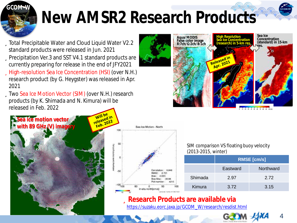

## **New AMSR2 Research Products**

üTotal Precipitable Water and Cloud Liquid Water V2.2 standard products were released in Jun. 2021 üPrecipitation Ver.3 and SST V4.1 standard products are currently preparing for release in the end of JFY2021 üHigh-resolution Sea Ice Concentration (HSI) (over N.H.)

research product (by G. Heygster) was released in Apr. 2021

üTwo Sea Ice Motion Vector (SIM) (over N.H.) research products (by K. Shimada and N. Kimura) will be released in Feb. 2022







SIM comparison VS floating buoy velocity (2013-2015, winter)

|         | <b>RMSE</b> [cm/s] |           |  |  |
|---------|--------------------|-----------|--|--|
|         | Eastward           | Northward |  |  |
| Shimada | 2.97               | 2.72      |  |  |
| Kimura  | 3.72               | 3.15      |  |  |

### ü**Research Products are available via**

[https://suzaku.eorc.jaxa.jp/GCOM\\_W/research/resdist.html](https://suzaku.eorc.jaxa.jp/GCOM_W/research/)



4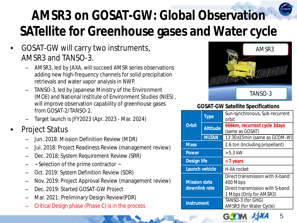## **AMSR3 on GOSAT-GW: Global Observation SATellite for Greenhouse gases and Water cycle**

- GOSAT-GW will carry two instruments, AMSR3 and TANSO-3.
	- AMSR3, led by JAXA, will succeed AMSR series observations adding new high-frequency channels for solid precipitation retrievals and water vapor analysis in NWP.
	- TANSO-3, led by Japanese Ministry of the Environment (MOE) and National Institute of Environment Studies (NIES) , will improve observation capability of greenhouse gases from GOSAT-2/TANSO-2.
	- Target launch is JFY2023 (Apr. 2023 Mar. 2024)
- Project Status
	- Jun. 2018: Mission Definition Review (MDR)
	- Jul. 2018: Project Readiness Review (management review)
	- Dec. 2018: System Requirement Review (SRR)
	- ~ Selection of the prime contractor ~
	- Oct. 2019: System Definition Review (SDR)
	- Nov. 2019: Project Approval Review (management review)
	- Dec. 2019: Started GOSAT-GW Project
	- Mar. 2021: Preliminary Design Review(PDR)
	- Critical Design phase (Phase C) is in the process



#### **GOSAT-GW Satellite Specifications**

| Type                                 |                 | Sun-synchronous, Sub-recurrent<br>orbit                                                                     |  |  |
|--------------------------------------|-----------------|-------------------------------------------------------------------------------------------------------------|--|--|
| <b>Orbit</b>                         | <b>Altitude</b> | 666km, recurrent cycle 3days<br>(same as GOSAT)                                                             |  |  |
| <b>MLTAN</b>                         |                 | 13:30±15min (same as GCOM-W)                                                                                |  |  |
| <b>Mass</b>                          |                 | 2.6 ton (Including propellant)                                                                              |  |  |
| <b>Power</b>                         |                 | $> 5.3$ kW                                                                                                  |  |  |
| <b>Design life</b>                   |                 | > 7 years                                                                                                   |  |  |
| Launch vehicle                       |                 | <b>H-IIA</b> rocket                                                                                         |  |  |
| <b>Mission data</b><br>downlink rate |                 | Direct transmission with X-band:<br>400 Mbps<br>Direct transmission with S-band:<br>1 Mbps (Only for AMSR3) |  |  |
| <b>Instrument</b>                    |                 | TANSO-3 (for GHG)<br>AMSR3 (for Water Cycle)                                                                |  |  |
|                                      |                 |                                                                                                             |  |  |



5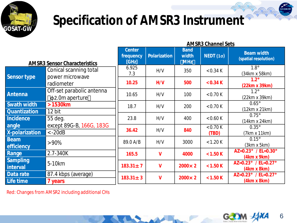

### **Specification of AMSR3 Instrument**

|                             |                                                   | <b>AMSR3 Channel Sets</b>           |                     |                                    |                       |                                             |
|-----------------------------|---------------------------------------------------|-------------------------------------|---------------------|------------------------------------|-----------------------|---------------------------------------------|
|                             | <b>AMSR3 Sensor Characteristics</b>               | <b>Center</b><br>frequency<br>[GHz] | <b>Polarization</b> | <b>Band</b><br>width<br><b>MHz</b> | NEDT(1 <sub>σ</sub> ) | <b>Beam width</b><br>(spatial resolution)   |
|                             | Conical scanning total                            | 6.925<br>7.3                        | H/V                 | 350                                | < 0.34 K              | $1.8^\circ$<br>(34km x 58km)                |
| <b>Sensor type</b>          | power microwave<br>radiometer                     | 10.25                               | H/V                 | 500                                | < 0.34 K              | $1.2^\circ$<br>(22km x 39km)                |
| <b>Antenna</b>              | Off-set parabolic antenna<br>$\phi$ 2.0m aperture | 10.65                               | H/V                 | 100                                | < 0.70 K              | $1.2^\circ$<br>(22km x 39km)                |
| <b>Swath width</b>          | >1530km                                           | 18.7                                | H/V                 | 200                                | < 0.70 K              | $0.65^\circ$<br>(12km x 21km)               |
| <b>Quantization</b>         | 12 bit                                            |                                     |                     |                                    |                       | $0.75^\circ$                                |
| <b>Incidence</b>            | 55 deg.                                           | 23.8                                | H/V                 | 400                                | < 0.60 K              | (14km x 24km)                               |
| angle                       | except 89G-B, 166G, 183G                          |                                     |                     |                                    | < 0.70 K              | $0.35^\circ$                                |
| <b>X-polarization</b>       | $\langle -20dB \rangle$                           | 36.42                               | H/V                 | 840                                | (TBD)                 | (7km x 11km)                                |
| <b>Beam</b><br>efficiency   | $>90\%$                                           | 89.0 A/B                            | H/V                 | 3000                               | < 1.20 K              | $0.15^\circ$<br>$(3km \times 5km)$          |
| <b>Range</b>                | 2.7-340K                                          | 165.5                               | V                   | 4000                               | < 1.50 K              | $AZ=0.23^{\circ}$ / EL=0.30°<br>(4km x 9km) |
| <b>Sampling</b><br>interval | 5-10 <sub>km</sub>                                | $183.31 \pm 7$                      | V                   | $2000 \times 2$                    | < 1.50 K              | AZ=0.23° / EL=0.27°<br>(4km x 8km)          |
| Data rate                   | 87.4 kbps (average)                               |                                     |                     |                                    |                       | AZ=0.23° / EL=0.27°                         |
| Life time                   | 7 years                                           | $183.31 \pm 3$                      | V                   | $2000 \times 2$                    | < 1.50 K              | (4km x 8km)                                 |

Red: Changes from AMSR2 including additional CHs

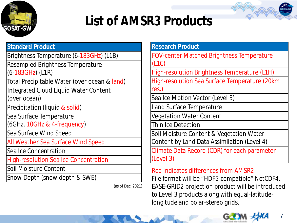

## **List of AMSR3 Products**

| <b>Standard Product</b>                      |
|----------------------------------------------|
| Brightness Temperature (6-183GHz) (L1B)      |
| Resampled Brightness Temperature             |
| $(6-183GHz)$ (L1R)                           |
| Total Precipitable Water (over ocean & land) |
| <b>Integrated Cloud Liquid Water Content</b> |
| (over ocean)                                 |
| Precipitation (liquid & solid)               |
| Sea Surface Temperature                      |
| (6GHz, 10GHz & 4-frequency)                  |
| Sea Surface Wind Speed                       |
| All Weather Sea Surface Wind Speed           |
| Sea Ice Concentration                        |
| <b>High-resolution Sea Ice Concentration</b> |
| Soil Moisture Content                        |
| Snow Depth (snow depth & SWE)                |

(as of Dec. 2021)

#### **Research Product**

FOV-center Matched Brightness Temperature (L1C)

High-resolution Brightness Temperature (L1H)

High-resolution Sea Surface Temperature (20km res.)

Sea Ice Motion Vector (Level 3)

Land Surface Temperature

Vegetation Water Content

Thin Ice Detection

Soil Moisture Content & Vegetation Water Content by Land Data Assimilation (Level 4)

Climate Data Record (CDR) for each parameter (Level 3)

### Red indicates differences from AMSR2

File format will be "HDF5-compatible" NetCDF4. EASE-GRID2 projection product will be introduced to Level 3 products along with equal-latitudelongitude and polar-stereo grids.

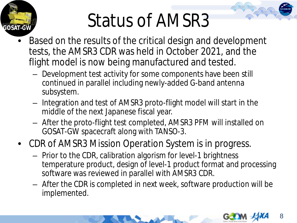

# Status of AMSR3

- Based on the results of the critical design and development tests, the AMSR3 CDR was held in October 2021, and the flight model is now being manufactured and tested.
	- Development test activity for some components have been still continued in parallel including newly-added G-band antenna subsystem.
	- Integration and test of AMSR3 proto-flight model will start in the middle of the next Japanese fiscal year.
	- After the proto-flight test completed, AMSR3 PFM will installed on GOSAT-GW spacecraft along with TANSO-3.
- CDR of AMSR3 Mission Operation System is in progress.
	- Prior to the CDR, calibration algorism for level-1 brightness temperature product, design of level-1 product format and processing software was reviewed in parallel with AMSR3 CDR.
	- After the CDR is completed in next week, software production will be implemented.